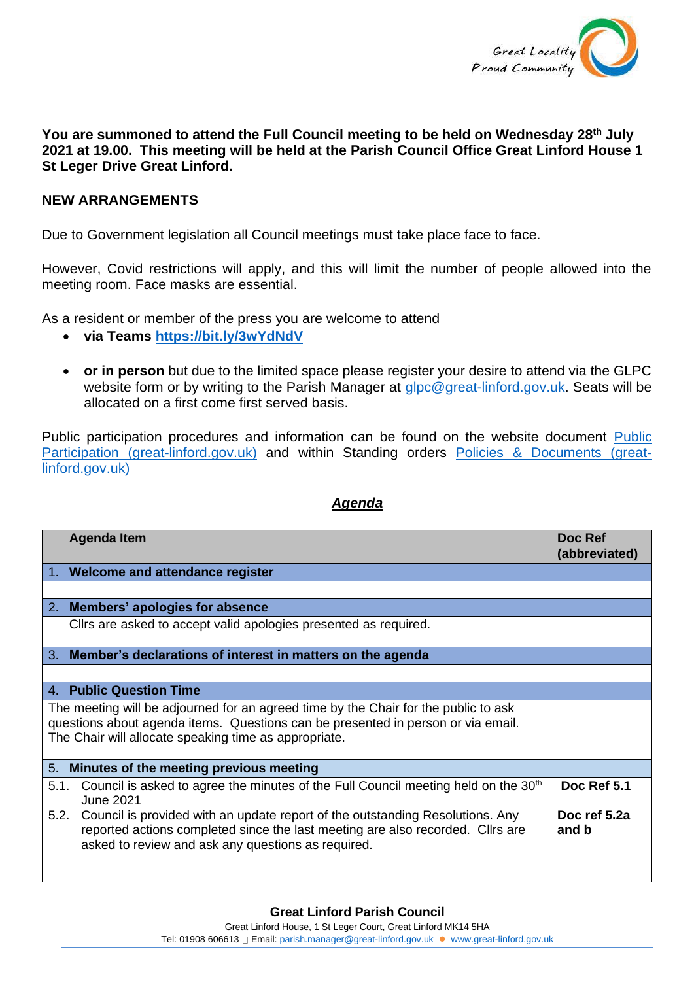

**You are summoned to attend the Full Council meeting to be held on Wednesday 28th July 2021 at 19.00. This meeting will be held at the Parish Council Office Great Linford House 1 St Leger Drive Great Linford.**

## **NEW ARRANGEMENTS**

Due to Government legislation all Council meetings must take place face to face.

However, Covid restrictions will apply, and this will limit the number of people allowed into the meeting room. Face masks are essential.

As a resident or member of the press you are welcome to attend

- **via Teams <https://bit.ly/3wYdNdV>**
- **or in person** but due to the limited space please register your desire to attend via the GLPC website form or by writing to the Parish Manager at [glpc@great-linford.gov.uk.](mailto:glpc@great-linford.gov.uk) Seats will be allocated on a first come first served basis.

Public participation procedures and information can be found on the website document [Public](https://www.great-linford.gov.uk/council-meetings/public-participation/)  [Participation \(great-linford.gov.uk\)](https://www.great-linford.gov.uk/council-meetings/public-participation/) and within Standing orders [Policies & Documents \(great](https://www.great-linford.gov.uk/the-parish-council/policies-documents/)[linford.gov.uk\)](https://www.great-linford.gov.uk/the-parish-council/policies-documents/)

|                                                                                                                                                                                                                                  | <b>Agenda Item</b>                                                                                                                                                                                                    | Doc Ref<br>(abbreviated) |
|----------------------------------------------------------------------------------------------------------------------------------------------------------------------------------------------------------------------------------|-----------------------------------------------------------------------------------------------------------------------------------------------------------------------------------------------------------------------|--------------------------|
|                                                                                                                                                                                                                                  | 1. Welcome and attendance register                                                                                                                                                                                    |                          |
|                                                                                                                                                                                                                                  |                                                                                                                                                                                                                       |                          |
| 2.                                                                                                                                                                                                                               | Members' apologies for absence                                                                                                                                                                                        |                          |
|                                                                                                                                                                                                                                  | Cllrs are asked to accept valid apologies presented as required.                                                                                                                                                      |                          |
|                                                                                                                                                                                                                                  | 3. Member's declarations of interest in matters on the agenda                                                                                                                                                         |                          |
|                                                                                                                                                                                                                                  |                                                                                                                                                                                                                       |                          |
|                                                                                                                                                                                                                                  | 4. Public Question Time                                                                                                                                                                                               |                          |
| The meeting will be adjourned for an agreed time by the Chair for the public to ask<br>questions about agenda items. Questions can be presented in person or via email.<br>The Chair will allocate speaking time as appropriate. |                                                                                                                                                                                                                       |                          |
| 5.                                                                                                                                                                                                                               | Minutes of the meeting previous meeting                                                                                                                                                                               |                          |
| 5.1.                                                                                                                                                                                                                             | Council is asked to agree the minutes of the Full Council meeting held on the 30 <sup>th</sup><br><b>June 2021</b>                                                                                                    | Doc Ref 5.1              |
| 5.2.                                                                                                                                                                                                                             | Council is provided with an update report of the outstanding Resolutions. Any<br>reported actions completed since the last meeting are also recorded. Cllrs are<br>asked to review and ask any questions as required. | Doc ref 5.2a<br>and b    |

## *Agenda*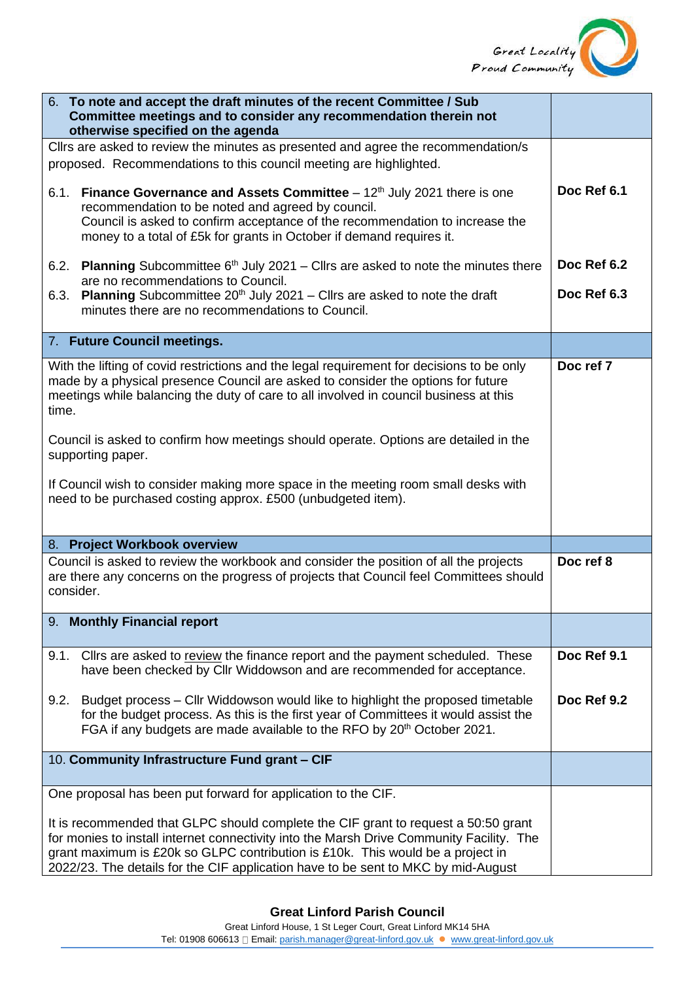

| 6. To note and accept the draft minutes of the recent Committee / Sub<br>Committee meetings and to consider any recommendation therein not<br>otherwise specified on the agenda                                                                                                                                                                       |             |
|-------------------------------------------------------------------------------------------------------------------------------------------------------------------------------------------------------------------------------------------------------------------------------------------------------------------------------------------------------|-------------|
| Cllrs are asked to review the minutes as presented and agree the recommendation/s<br>proposed. Recommendations to this council meeting are highlighted.                                                                                                                                                                                               |             |
| <b>Finance Governance and Assets Committee</b> $-12th$ July 2021 there is one<br>6.1.<br>recommendation to be noted and agreed by council.<br>Council is asked to confirm acceptance of the recommendation to increase the<br>money to a total of £5k for grants in October if demand requires it.                                                    | Doc Ref 6.1 |
| 6.2. Planning Subcommittee $6th$ July 2021 – Cllrs are asked to note the minutes there<br>are no recommendations to Council.                                                                                                                                                                                                                          | Doc Ref 6.2 |
| <b>Planning</b> Subcommittee $20th$ July 2021 – Cllrs are asked to note the draft<br>6.3.<br>minutes there are no recommendations to Council.                                                                                                                                                                                                         | Doc Ref 6.3 |
| 7. Future Council meetings.                                                                                                                                                                                                                                                                                                                           |             |
| With the lifting of covid restrictions and the legal requirement for decisions to be only<br>made by a physical presence Council are asked to consider the options for future<br>meetings while balancing the duty of care to all involved in council business at this<br>time.                                                                       | Doc ref 7   |
| Council is asked to confirm how meetings should operate. Options are detailed in the<br>supporting paper.                                                                                                                                                                                                                                             |             |
| If Council wish to consider making more space in the meeting room small desks with<br>need to be purchased costing approx. £500 (unbudgeted item).                                                                                                                                                                                                    |             |
| 8. Project Workbook overview                                                                                                                                                                                                                                                                                                                          |             |
| Council is asked to review the workbook and consider the position of all the projects<br>are there any concerns on the progress of projects that Council feel Committees should<br>consider.                                                                                                                                                          | Doc ref 8   |
| 9. Monthly Financial report                                                                                                                                                                                                                                                                                                                           |             |
| Cllrs are asked to review the finance report and the payment scheduled. These<br>9.1.<br>have been checked by Cllr Widdowson and are recommended for acceptance.                                                                                                                                                                                      | Doc Ref 9.1 |
| Budget process - Cllr Widdowson would like to highlight the proposed timetable<br>9.2.<br>for the budget process. As this is the first year of Committees it would assist the<br>FGA if any budgets are made available to the RFO by 20 <sup>th</sup> October 2021.                                                                                   | Doc Ref 9.2 |
| 10. Community Infrastructure Fund grant - CIF                                                                                                                                                                                                                                                                                                         |             |
| One proposal has been put forward for application to the CIF.                                                                                                                                                                                                                                                                                         |             |
| It is recommended that GLPC should complete the CIF grant to request a 50:50 grant<br>for monies to install internet connectivity into the Marsh Drive Community Facility. The<br>grant maximum is £20k so GLPC contribution is £10k. This would be a project in<br>2022/23. The details for the CIF application have to be sent to MKC by mid-August |             |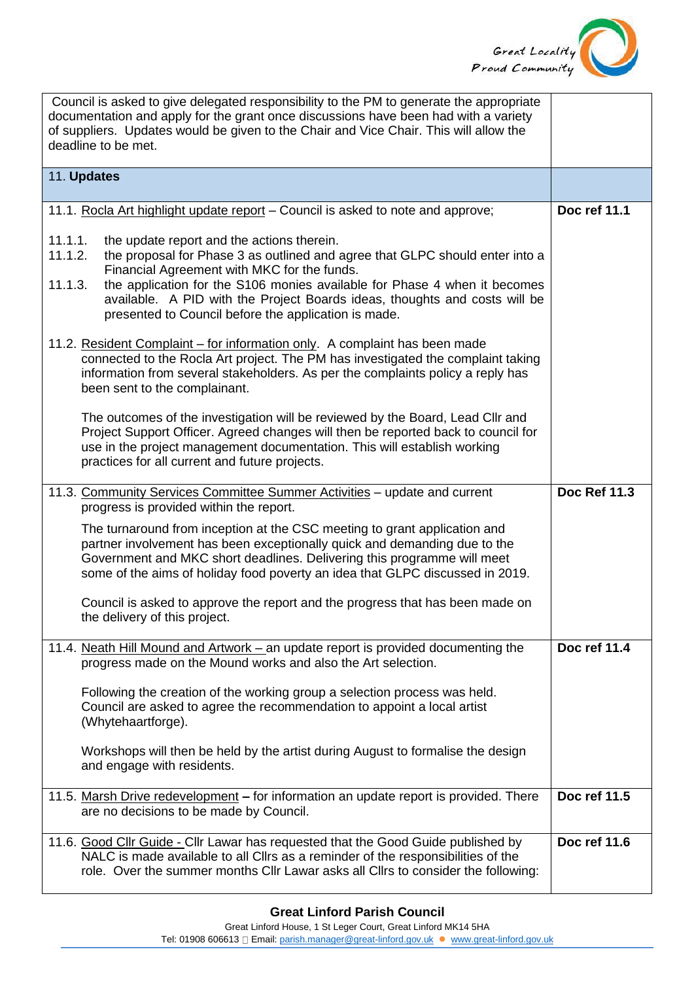

| Council is asked to give delegated responsibility to the PM to generate the appropriate<br>documentation and apply for the grant once discussions have been had with a variety<br>of suppliers. Updates would be given to the Chair and Vice Chair. This will allow the<br>deadline to be met.                                                                                                                                |                     |
|-------------------------------------------------------------------------------------------------------------------------------------------------------------------------------------------------------------------------------------------------------------------------------------------------------------------------------------------------------------------------------------------------------------------------------|---------------------|
| 11. Updates                                                                                                                                                                                                                                                                                                                                                                                                                   |                     |
| 11.1. Rocla Art highlight update report - Council is asked to note and approve;                                                                                                                                                                                                                                                                                                                                               | Doc ref 11.1        |
| 11.1.1.<br>the update report and the actions therein.<br>the proposal for Phase 3 as outlined and agree that GLPC should enter into a<br>11.1.2.<br>Financial Agreement with MKC for the funds.<br>11.1.3.<br>the application for the S106 monies available for Phase 4 when it becomes<br>available. A PID with the Project Boards ideas, thoughts and costs will be<br>presented to Council before the application is made. |                     |
| 11.2. Resident Complaint – for information only. A complaint has been made<br>connected to the Rocla Art project. The PM has investigated the complaint taking<br>information from several stakeholders. As per the complaints policy a reply has<br>been sent to the complainant.                                                                                                                                            |                     |
| The outcomes of the investigation will be reviewed by the Board, Lead Cllr and<br>Project Support Officer. Agreed changes will then be reported back to council for<br>use in the project management documentation. This will establish working<br>practices for all current and future projects.                                                                                                                             |                     |
| 11.3. Community Services Committee Summer Activities - update and current<br>progress is provided within the report.                                                                                                                                                                                                                                                                                                          | <b>Doc Ref 11.3</b> |
| The turnaround from inception at the CSC meeting to grant application and<br>partner involvement has been exceptionally quick and demanding due to the<br>Government and MKC short deadlines. Delivering this programme will meet<br>some of the aims of holiday food poverty an idea that GLPC discussed in 2019.                                                                                                            |                     |
| Council is asked to approve the report and the progress that has been made on<br>the delivery of this project.                                                                                                                                                                                                                                                                                                                |                     |
| 11.4. Neath Hill Mound and Artwork - an update report is provided documenting the<br>progress made on the Mound works and also the Art selection.                                                                                                                                                                                                                                                                             | Doc ref 11.4        |
| Following the creation of the working group a selection process was held.<br>Council are asked to agree the recommendation to appoint a local artist<br>(Whytehaartforge).                                                                                                                                                                                                                                                    |                     |
| Workshops will then be held by the artist during August to formalise the design<br>and engage with residents.                                                                                                                                                                                                                                                                                                                 |                     |
| 11.5. Marsh Drive redevelopment - for information an update report is provided. There<br>are no decisions to be made by Council.                                                                                                                                                                                                                                                                                              | Doc ref 11.5        |
| 11.6. Good Cllr Guide - Cllr Lawar has requested that the Good Guide published by<br>NALC is made available to all Cllrs as a reminder of the responsibilities of the<br>role. Over the summer months Cllr Lawar asks all Cllrs to consider the following:                                                                                                                                                                    | Doc ref 11.6        |